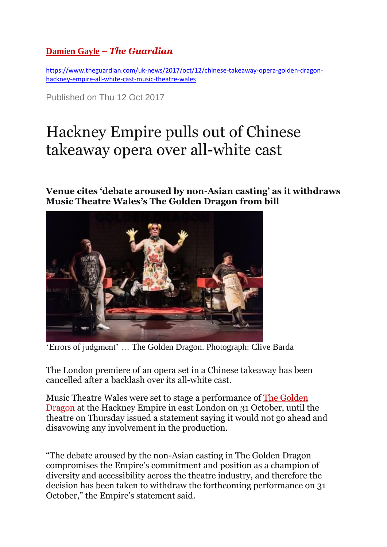## **[Damien](https://www.theguardian.com/profile/damien-gayle) Gayle** *– The Guardian*

[https://www.theguardian.com/uk-news/2017/oct/12/chinese-takeaway-opera-golden-dragon](https://www.theguardian.com/uk-news/2017/oct/12/chinese-takeaway-opera-golden-dragon-hackney-empire-all-white-cast-music-theatre-wales)[hackney-empire-all-white-cast-music-theatre-wales](https://www.theguardian.com/uk-news/2017/oct/12/chinese-takeaway-opera-golden-dragon-hackney-empire-all-white-cast-music-theatre-wales)

Published on Thu 12 Oct 2017

## Hackney Empire pulls out of Chinese takeaway opera over all-white cast

## **Venue cites 'debate aroused by non-Asian casting' as it withdraws Music Theatre Wales's The Golden Dragon from bill**



'Errors of judgment' … The Golden Dragon. Photograph: Clive Barda

The London premiere of an opera set in a Chinese takeaway has been cancelled after a backlash over its all-white cast.

Music Theatre Wales were set to stage a performance of The [Golden](https://www.theguardian.com/music/2017/oct/08/the-golden-dragon-review-opera-passion-power-politics-v-and-a) [Dragon](https://www.theguardian.com/music/2017/oct/08/the-golden-dragon-review-opera-passion-power-politics-v-and-a) at the Hackney Empire in east London on 31 October, until the theatre on Thursday issued a statement saying it would not go ahead and disavowing any involvement in the production.

"The debate aroused by the non-Asian casting in The Golden Dragon compromises the Empire's commitment and position as a champion of diversity and accessibility across the theatre industry, and therefore the decision has been taken to withdraw the forthcoming performance on 31 October," the Empire's statement said.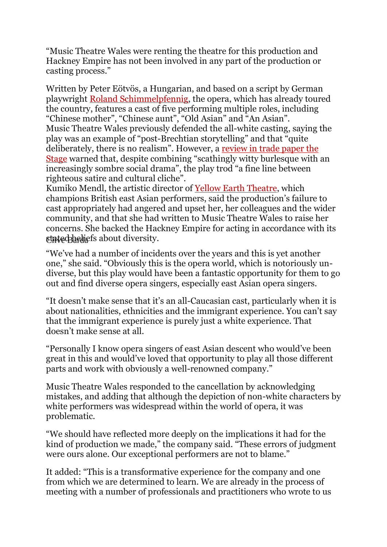"Music Theatre Wales were renting the theatre for this production and Hackney Empire has not been involved in any part of the production or casting process."

Written by Peter Eötvös, a Hungarian, and based on a script by German playwright Roland [Schimmelpfennig,](https://www.theguardian.com/stage/roland-schimmelpfennig) the opera, which has already toured the country, features a cast of five performing multiple roles, including "Chinese mother", "Chinese aunt", "Old Asian" and "An Asian". Music Theatre Wales previously defended the all-white casting, saying the play was an example of "post-Brechtian storytelling" and that "quite deliberately, there is no realism". However, a [review](https://www.thestage.co.uk/reviews/2017/the-golden-dragon-review-at-sherman-theatre-cardiff-thought-provoking/) in trade paper the [Stage](https://www.thestage.co.uk/reviews/2017/the-golden-dragon-review-at-sherman-theatre-cardiff-thought-provoking/) warned that, despite combining "scathingly witty burlesque with an increasingly sombre social drama", the play trod "a fine line between righteous satire and cultural cliche".

Kumiko Mendl, the artistic director of Yellow Earth [Theatre,](http://yellowearth.org/) which champions British east Asian performers, said the production's failure to cast appropriately had angered and upset her, her colleagues and the wider community, and that she had written to Music Theatre Wales to raise her concerns. She backed the Hackney Empire for acting in accordance with its stated beliefs about diversity.

"We've had a number of incidents over the years and this is yet another one," she said. "Obviously this is the opera world, which is notoriously undiverse, but this play would have been a fantastic opportunity for them to go out and find diverse opera singers, especially east Asian opera singers.

"It doesn't make sense that it's an all-Caucasian cast, particularly when it is about nationalities, ethnicities and the immigrant experience. You can't say that the immigrant experience is purely just a white experience. That doesn't make sense at all.

"Personally I know opera singers of east Asian descent who would've been great in this and would've loved that opportunity to play all those different parts and work with obviously a well-renowned company."

Music Theatre Wales responded to the cancellation by acknowledging mistakes, and adding that although the depiction of non-white characters by white performers was widespread within the world of opera, it was problematic.

"We should have reflected more deeply on the implications it had for the kind of production we made," the company said. "These errors of judgment were ours alone. Our exceptional performers are not to blame."

It added: "This is a transformative experience for the company and one from which we are determined to learn. We are already in the process of meeting with a number of professionals and practitioners who wrote to us